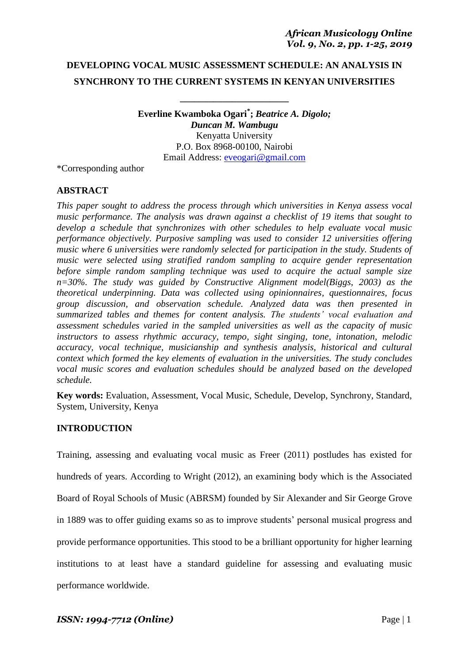# **DEVELOPING VOCAL MUSIC ASSESSMENT SCHEDULE: AN ANALYSIS IN SYNCHRONY TO THE CURRENT SYSTEMS IN KENYAN UNIVERSITIES**

**\_\_\_\_\_\_\_\_\_\_\_\_\_\_\_\_\_\_\_\_\_\_\_**

**Everline Kwamboka Ogari\* ;** *Beatrice A. Digolo; Duncan M. Wambugu* Kenyatta University P.O. Box 8968-00100, Nairobi Email Address: [eveogari@gmail.com](mailto:eveogari@gmail.com)

\*Corresponding author

# **ABSTRACT**

*This paper sought to address the process through which universities in Kenya assess vocal music performance. The analysis was drawn against a checklist of 19 items that sought to develop a schedule that synchronizes with other schedules to help evaluate vocal music performance objectively. Purposive sampling was used to consider 12 universities offering music where 6 universities were randomly selected for participation in the study. Students of music were selected using stratified random sampling to acquire gender representation before simple random sampling technique was used to acquire the actual sample size n=30%. The study was guided by Constructive Alignment model(Biggs, 2003) as the theoretical underpinning. Data was collected using opinionnaires, questionnaires, focus group discussion, and observation schedule. Analyzed data was then presented in summarized tables and themes for content analysis. The students' vocal evaluation and assessment schedules varied in the sampled universities as well as the capacity of music instructors to assess rhythmic accuracy, tempo, sight singing, tone, intonation, melodic accuracy, vocal technique, musicianship and synthesis analysis, historical and cultural context which formed the key elements of evaluation in the universities. The study concludes vocal music scores and evaluation schedules should be analyzed based on the developed schedule.*

**Key words:** Evaluation, Assessment, Vocal Music, Schedule, Develop, Synchrony, Standard, System, University, Kenya

### **INTRODUCTION**

Training, assessing and evaluating vocal music as Freer (2011) postludes has existed for hundreds of years. According to Wright (2012), an examining body which is the Associated Board of Royal Schools of Music (ABRSM) founded by Sir Alexander and Sir George Grove in 1889 was to offer guiding exams so as to improve students' personal musical progress and provide performance opportunities. This stood to be a brilliant opportunity for higher learning institutions to at least have a standard guideline for assessing and evaluating music performance worldwide.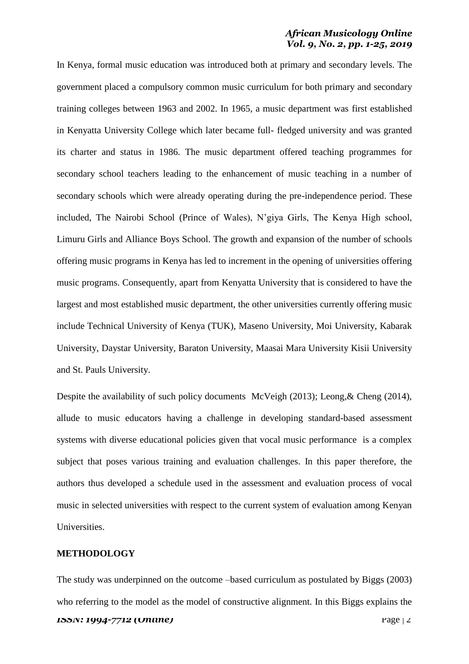In Kenya, formal music education was introduced both at primary and secondary levels. The government placed a compulsory common music curriculum for both primary and secondary training colleges between 1963 and 2002. In 1965, a music department was first established in Kenyatta University College which later became full- fledged university and was granted its charter and status in 1986. The music department offered teaching programmes for secondary school teachers leading to the enhancement of music teaching in a number of secondary schools which were already operating during the pre-independence period. These included, The Nairobi School (Prince of Wales), N'giya Girls, The Kenya High school, Limuru Girls and Alliance Boys School. The growth and expansion of the number of schools offering music programs in Kenya has led to increment in the opening of universities offering music programs. Consequently, apart from Kenyatta University that is considered to have the largest and most established music department, the other universities currently offering music include Technical University of Kenya (TUK), Maseno University, Moi University, Kabarak University, Daystar University, Baraton University, Maasai Mara University Kisii University and St. Pauls University.

Despite the availability of such policy documents McVeigh (2013); Leong, & Cheng (2014), allude to music educators having a challenge in developing standard-based assessment systems with diverse educational policies given that vocal music performance is a complex subject that poses various training and evaluation challenges. In this paper therefore, the authors thus developed a schedule used in the assessment and evaluation process of vocal music in selected universities with respect to the current system of evaluation among Kenyan Universities.

### **METHODOLOGY**

*ISSN: 1994-7712 (Online)* Page | 2 The study was underpinned on the outcome –based curriculum as postulated by Biggs (2003) who referring to the model as the model of constructive alignment. In this Biggs explains the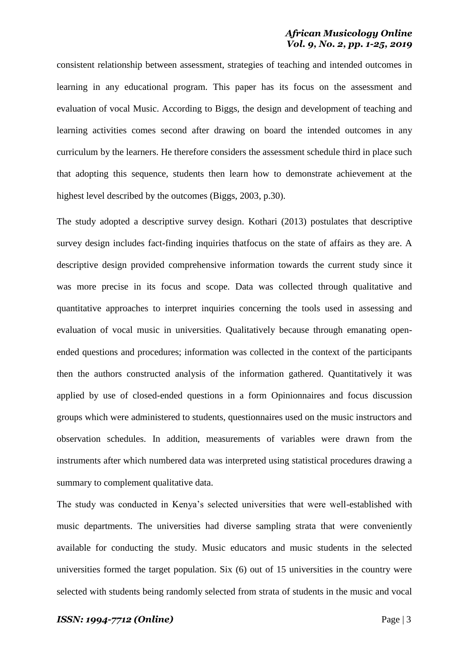consistent relationship between assessment, strategies of teaching and intended outcomes in learning in any educational program. This paper has its focus on the assessment and evaluation of vocal Music. According to Biggs, the design and development of teaching and learning activities comes second after drawing on board the intended outcomes in any curriculum by the learners. He therefore considers the assessment schedule third in place such that adopting this sequence, students then learn how to demonstrate achievement at the highest level described by the outcomes (Biggs, 2003, p.30).

The study adopted a descriptive survey design. Kothari (2013) postulates that descriptive survey design includes fact-finding inquiries thatfocus on the state of affairs as they are. A descriptive design provided comprehensive information towards the current study since it was more precise in its focus and scope. Data was collected through qualitative and quantitative approaches to interpret inquiries concerning the tools used in assessing and evaluation of vocal music in universities. Qualitatively because through emanating openended questions and procedures; information was collected in the context of the participants then the authors constructed analysis of the information gathered. Quantitatively it was applied by use of closed-ended questions in a form Opinionnaires and focus discussion groups which were administered to students, questionnaires used on the music instructors and observation schedules. In addition, measurements of variables were drawn from the instruments after which numbered data was interpreted using statistical procedures drawing a summary to complement qualitative data.

The study was conducted in Kenya's selected universities that were well-established with music departments. The universities had diverse sampling strata that were conveniently available for conducting the study. Music educators and music students in the selected universities formed the target population. Six (6) out of 15 universities in the country were selected with students being randomly selected from strata of students in the music and vocal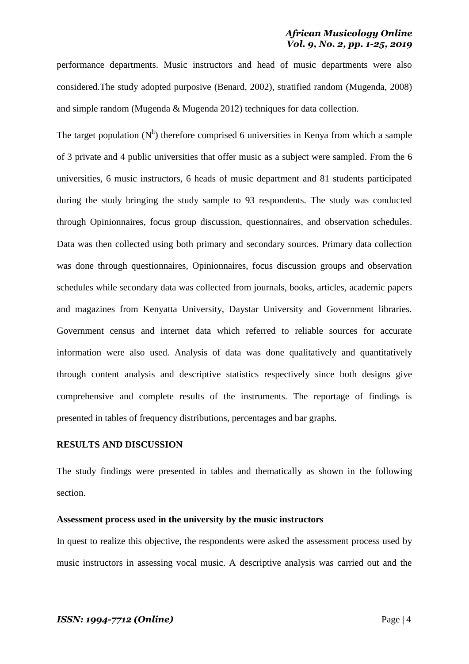performance departments. Music instructors and head of music departments were also considered.The study adopted purposive (Benard, 2002), stratified random (Mugenda, 2008) and simple random (Mugenda & Mugenda 2012) techniques for data collection.

The target population  $(N<sup>h</sup>)$  therefore comprised 6 universities in Kenya from which a sample of 3 private and 4 public universities that offer music as a subject were sampled. From the 6 universities, 6 music instructors, 6 heads of music department and 81 students participated during the study bringing the study sample to 93 respondents. The study was conducted through Opinionnaires, focus group discussion, questionnaires, and observation schedules. Data was then collected using both primary and secondary sources. Primary data collection was done through questionnaires, Opinionnaires, focus discussion groups and observation schedules while secondary data was collected from journals, books, articles, academic papers and magazines from Kenyatta University, Daystar University and Government libraries. Government census and internet data which referred to reliable sources for accurate information were also used. Analysis of data was done qualitatively and quantitatively through content analysis and descriptive statistics respectively since both designs give comprehensive and complete results of the instruments. The reportage of findings is presented in tables of frequency distributions, percentages and bar graphs.

### **RESULTS AND DISCUSSION**

The study findings were presented in tables and thematically as shown in the following section.

#### **Assessment process used in the university by the music instructors**

In quest to realize this objective, the respondents were asked the assessment process used by music instructors in assessing vocal music. A descriptive analysis was carried out and the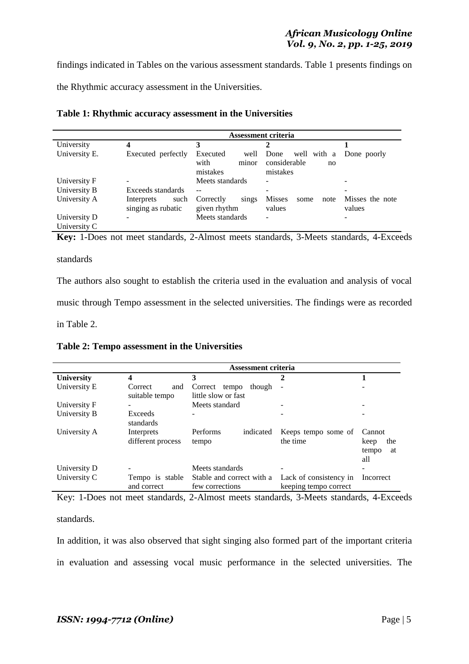findings indicated in Tables on the various assessment standards. Table 1 presents findings on the Rhythmic accuracy assessment in the Universities.

|               |                    |                    | Assessment criteria             |                 |
|---------------|--------------------|--------------------|---------------------------------|-----------------|
| University    |                    |                    |                                 |                 |
| University E. | Executed perfectly | Executed<br>well   | well with a Done poorly<br>Done |                 |
|               |                    | with<br>minor      | considerable<br>no              |                 |
|               |                    | mistakes           | mistakes                        |                 |
| University F  |                    | Meets standards    |                                 |                 |
| University B  | Exceeds standards  | $ -$               |                                 |                 |
| University A  | Interprets<br>such | Correctly<br>sings | <b>Misses</b><br>some<br>note   | Misses the note |
|               | singing as rubatic | given rhythm       | values                          | values          |
| University D  |                    | Meets standards    | ۰                               |                 |
| University C  |                    |                    |                                 |                 |

**Key:** 1-Does not meet standards, 2-Almost meets standards, 3-Meets standards, 4-Exceeds

### standards

The authors also sought to establish the criteria used in the evaluation and analysis of vocal music through Tempo assessment in the selected universities. The findings were as recorded in Table 2.

**Table 2: Tempo assessment in the Universities**

|                   | <b>Assessment criteria</b>       |                                                |                                                 |                                             |  |
|-------------------|----------------------------------|------------------------------------------------|-------------------------------------------------|---------------------------------------------|--|
| <b>University</b> |                                  | 3                                              | 2                                               |                                             |  |
| University E      | Correct<br>and<br>suitable tempo | though<br>Correct tempo<br>little slow or fast |                                                 |                                             |  |
| University F      |                                  | Meets standard                                 |                                                 |                                             |  |
| University B      | Exceeds<br>standards             |                                                |                                                 |                                             |  |
| University A      | Interprets<br>different process  | Performs<br>indicated<br>tempo                 | Keeps tempo some of<br>the time                 | Cannot<br>the<br>keep<br>tempo<br>at<br>all |  |
| University D      |                                  | Meets standards                                |                                                 |                                             |  |
| University C      | Tempo is stable<br>and correct   | Stable and correct with a<br>few corrections   | Lack of consistency in<br>keeping tempo correct | Incorrect                                   |  |

Key: 1-Does not meet standards, 2-Almost meets standards, 3-Meets standards, 4-Exceeds

standards.

In addition, it was also observed that sight singing also formed part of the important criteria in evaluation and assessing vocal music performance in the selected universities. The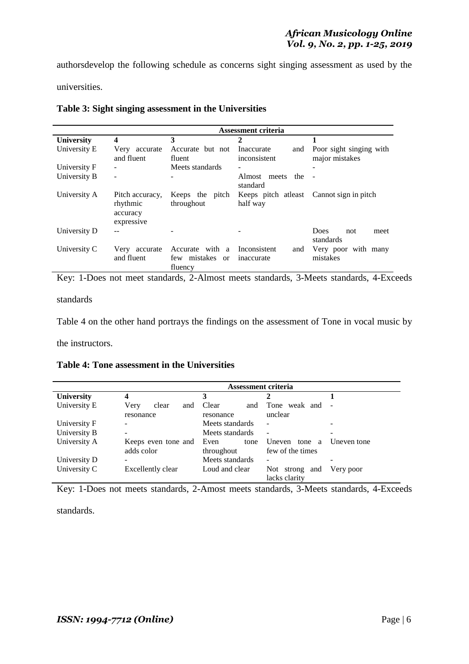authorsdevelop the following schedule as concerns sight singing assessment as used by the universities.

**Assessment criteria University 4 3 2 1** University E Very accurate and fluent Accurate but not fluent Inaccurate and inconsistent Poor sight singing with major mistakes University F - Meets standards University B - - - - - Almost meets the standard - University A Pitch accuracy, Keeps the pitch rhythmic accuracy expressive throughout Keeps pitch atleast Cannot sign in pitch half way University D -- - - - - - - Does not meet standards University C Very accurate and fluent Accurate with a Inconsistent and few mistakes or fluency inaccurate Very poor with many mistakes

### **Table 3: Sight singing assessment in the Universities**

Key: 1-Does not meet standards, 2-Almost meets standards, 3-Meets standards, 4-Exceeds

standards

Table 4 on the other hand portrays the findings on the assessment of Tone in vocal music by

the instructors.

**Table 4: Tone assessment in the Universities**

|                   | Assessment criteria  |                 |                                         |             |  |
|-------------------|----------------------|-----------------|-----------------------------------------|-------------|--|
| <b>University</b> |                      | 3               | 2                                       |             |  |
| University E      | Very<br>clear<br>and | Clear<br>and    | Tone weak and                           |             |  |
|                   | resonance            | resonance       | unclear                                 |             |  |
| University F      |                      | Meets standards | $\blacksquare$                          |             |  |
| University B      |                      | Meets standards | $\overline{\phantom{a}}$                |             |  |
| University A      | Keeps even tone and  | Even<br>tone    | Uneven<br>tone<br>a                     | Uneven tone |  |
|                   | adds color           | throughout      | few of the times                        |             |  |
| University D      |                      | Meets standards | ۰                                       |             |  |
| University C      | Excellently clear    | Loud and clear  | Not -<br>strong<br>and<br>lacks clarity | Very poor   |  |

Key: 1-Does not meets standards, 2-Amost meets standards, 3-Meets standards, 4-Exceeds

standards.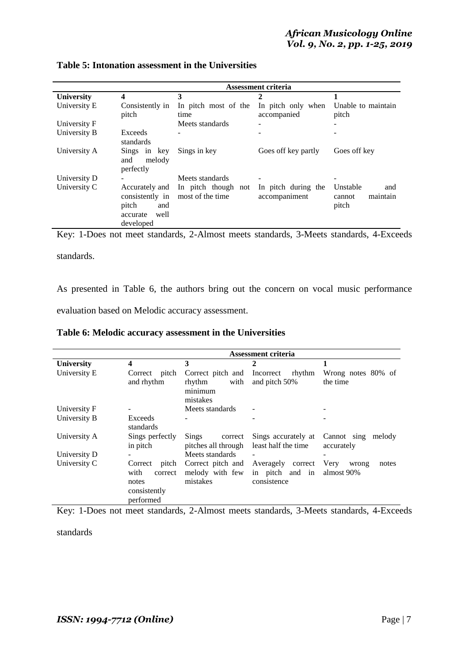|                   | Assessment criteria                                                                |                                         |                                      |                                                |  |
|-------------------|------------------------------------------------------------------------------------|-----------------------------------------|--------------------------------------|------------------------------------------------|--|
| <b>University</b> | 4                                                                                  | 3                                       | 2                                    | 1                                              |  |
| University E      | Consistently in<br>pitch                                                           | In pitch most of the<br>time            | In pitch only when<br>accompanied    | Unable to maintain<br>pitch                    |  |
| University F      |                                                                                    | Meets standards                         |                                      |                                                |  |
| University B      | Exceeds<br>standards                                                               |                                         |                                      |                                                |  |
| University A      | Sings in key<br>melody<br>and<br>perfectly                                         | Sings in key                            | Goes off key partly                  | Goes off key                                   |  |
| University D      |                                                                                    | Meets standards                         |                                      |                                                |  |
| University C      | Accurately and<br>consistently in<br>pitch<br>and<br>well<br>accurate<br>developed | In pitch though not<br>most of the time | In pitch during the<br>accompaniment | Unstable<br>and<br>maintain<br>cannot<br>pitch |  |

# **Table 5: Intonation assessment in the Universities**

Key: 1-Does not meet standards, 2-Almost meets standards, 3-Meets standards, 4-Exceeds

standards.

As presented in Table 6, the authors bring out the concern on vocal music performance evaluation based on Melodic accuracy assessment.

| Table 6: Melodic accuracy assessment in the Universities |  |  |  |  |
|----------------------------------------------------------|--|--|--|--|
|----------------------------------------------------------|--|--|--|--|

|                   | Assessment criteria                                                       |                                                            |                                                     |                                      |  |
|-------------------|---------------------------------------------------------------------------|------------------------------------------------------------|-----------------------------------------------------|--------------------------------------|--|
| <b>University</b> | 4                                                                         | 3                                                          | 2                                                   | 1                                    |  |
| University E      | Correct pitch<br>and rhythm                                               | Correct pitch and<br>rhythm<br>with<br>minimum<br>mistakes | Incorrect rhythm<br>and pitch 50%                   | Wrong notes 80% of<br>the time       |  |
| University F      |                                                                           | Meets standards                                            |                                                     |                                      |  |
| University B      | Exceeds<br>standards                                                      |                                                            |                                                     |                                      |  |
| University A      | Sings perfectly<br>in pitch                                               | Sings<br>correct<br>pitches all through                    | Sings accurately at<br>least half the time          | Cannot sing melody<br>accurately     |  |
| University D      |                                                                           | Meets standards                                            |                                                     |                                      |  |
| University C      | pitch<br>Correct<br>with<br>correct<br>notes<br>consistently<br>performed | Correct pitch and<br>melody with few<br>mistakes           | Averagely correct<br>in pitch and in<br>consistence | Very<br>notes<br>wrong<br>almost 90% |  |

Key: 1-Does not meet standards, 2-Almost meets standards, 3-Meets standards, 4-Exceeds

standards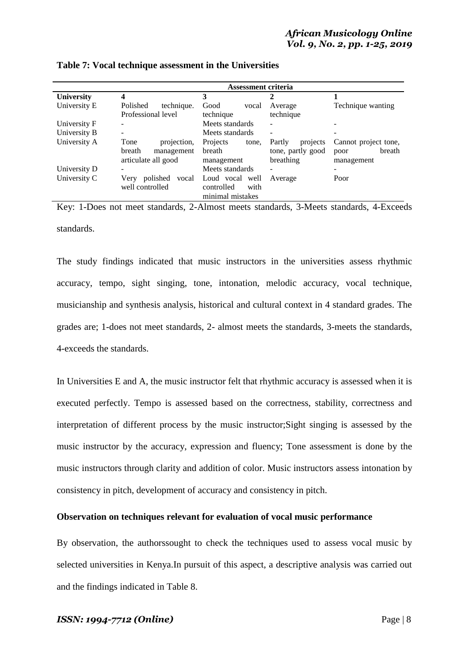|                   | Assessment criteria       |                    |                          |                      |
|-------------------|---------------------------|--------------------|--------------------------|----------------------|
| <b>University</b> | 4                         | 3                  | 2                        |                      |
| University E      | technique.<br>Polished    | Good<br>vocal      | Average                  | Technique wanting    |
|                   | Professional level        | technique          | technique                |                      |
| University F      |                           | Meets standards    |                          |                      |
| University B      | -                         | Meets standards    | $\overline{\phantom{a}}$ |                      |
| University A      | Tone<br>projection,       | Projects<br>tone.  | Partly<br>projects       | Cannot project tone, |
|                   | breath<br>management      | breath             | tone, partly good        | breath<br>poor       |
|                   | articulate all good       | management         | breathing                | management           |
| University D      |                           | Meets standards    |                          |                      |
| University C      | polished<br>vocal<br>Very | Loud vocal well    | Average                  | Poor                 |
|                   | well controlled           | controlled<br>with |                          |                      |
|                   |                           | minimal mistakes   |                          |                      |

| Table 7: Vocal technique assessment in the Universities |  |  |  |
|---------------------------------------------------------|--|--|--|
|---------------------------------------------------------|--|--|--|

Key: 1-Does not meet standards, 2-Almost meets standards, 3-Meets standards, 4-Exceeds standards.

The study findings indicated that music instructors in the universities assess rhythmic accuracy, tempo, sight singing, tone, intonation, melodic accuracy, vocal technique, musicianship and synthesis analysis, historical and cultural context in 4 standard grades. The grades are; 1-does not meet standards, 2- almost meets the standards, 3-meets the standards, 4-exceeds the standards.

In Universities E and A, the music instructor felt that rhythmic accuracy is assessed when it is executed perfectly. Tempo is assessed based on the correctness, stability, correctness and interpretation of different process by the music instructor;Sight singing is assessed by the music instructor by the accuracy, expression and fluency; Tone assessment is done by the music instructors through clarity and addition of color. Music instructors assess intonation by consistency in pitch, development of accuracy and consistency in pitch.

### **Observation on techniques relevant for evaluation of vocal music performance**

By observation, the authorssought to check the techniques used to assess vocal music by selected universities in Kenya.In pursuit of this aspect, a descriptive analysis was carried out and the findings indicated in Table 8.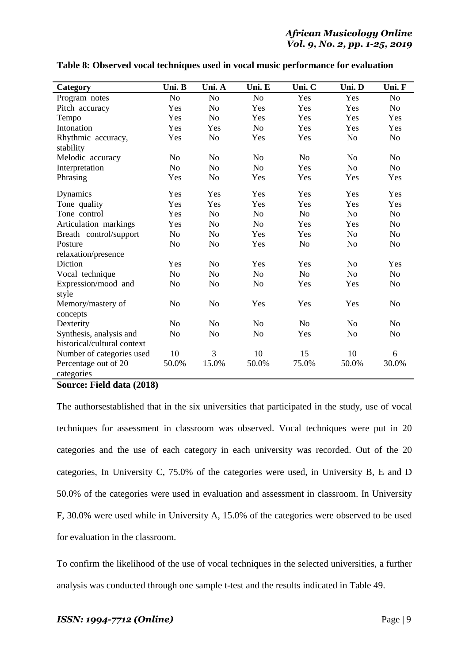| Category                    | Uni. B         | Uni. A         | Uni. E         | Uni. C         | Uni. D         | Uni. F         |
|-----------------------------|----------------|----------------|----------------|----------------|----------------|----------------|
| Program notes               | N <sub>o</sub> | No             | N <sub>o</sub> | Yes            | Yes            | No             |
| Pitch accuracy              | Yes            | N <sub>o</sub> | Yes            | Yes            | Yes            | No             |
| Tempo                       | Yes            | N <sub>o</sub> | Yes            | Yes            | Yes            | Yes            |
| Intonation                  | Yes            | Yes            | N <sub>o</sub> | Yes            | Yes            | Yes            |
| Rhythmic accuracy,          | Yes            | N <sub>o</sub> | Yes            | Yes            | N <sub>o</sub> | No             |
| stability                   |                |                |                |                |                |                |
| Melodic accuracy            | N <sub>0</sub> | No             | N <sub>o</sub> | N <sub>o</sub> | N <sub>o</sub> | No             |
| Interpretation              | N <sub>o</sub> | N <sub>o</sub> | N <sub>o</sub> | Yes            | N <sub>o</sub> | No             |
| Phrasing                    | Yes            | N <sub>o</sub> | Yes            | Yes            | Yes            | Yes            |
| Dynamics                    | Yes            | Yes            | Yes            | Yes            | Yes            | Yes            |
| Tone quality                | Yes            | Yes            | Yes            | Yes            | Yes            | Yes            |
| Tone control                | Yes            | N <sub>o</sub> | N <sub>o</sub> | N <sub>o</sub> | N <sub>o</sub> | N <sub>o</sub> |
| Articulation markings       | Yes            | N <sub>o</sub> | N <sub>o</sub> | Yes            | Yes            | No             |
| Breath control/support      | N <sub>o</sub> | No             | Yes            | Yes            | N <sub>o</sub> | N <sub>o</sub> |
| Posture                     | N <sub>0</sub> | N <sub>o</sub> | Yes            | N <sub>o</sub> | N <sub>o</sub> | N <sub>o</sub> |
| relaxation/presence         |                |                |                |                |                |                |
| Diction                     | Yes            | N <sub>o</sub> | Yes            | Yes            | N <sub>o</sub> | Yes            |
| Vocal technique             | N <sub>o</sub> | N <sub>o</sub> | N <sub>o</sub> | N <sub>o</sub> | N <sub>o</sub> | N <sub>o</sub> |
| Expression/mood and         | N <sub>o</sub> | N <sub>o</sub> | N <sub>o</sub> | Yes            | Yes            | N <sub>o</sub> |
| style                       |                |                |                |                |                |                |
| Memory/mastery of           | N <sub>o</sub> | N <sub>o</sub> | Yes            | Yes            | Yes            | N <sub>o</sub> |
| concepts                    |                |                |                |                |                |                |
| Dexterity                   | N <sub>o</sub> | N <sub>o</sub> | N <sub>o</sub> | N <sub>0</sub> | No             | N <sub>o</sub> |
| Synthesis, analysis and     | N <sub>o</sub> | No             | N <sub>o</sub> | Yes            | N <sub>o</sub> | N <sub>o</sub> |
| historical/cultural context |                |                |                |                |                |                |
| Number of categories used   | 10             | 3              | 10             | 15             | 10             | 6              |
| Percentage out of 20        | 50.0%          | 15.0%          | 50.0%          | 75.0%          | 50.0%          | 30.0%          |
| categories                  |                |                |                |                |                |                |

### **Table 8: Observed vocal techniques used in vocal music performance for evaluation**

**Source: Field data (2018)**

The authorsestablished that in the six universities that participated in the study, use of vocal techniques for assessment in classroom was observed. Vocal techniques were put in 20 categories and the use of each category in each university was recorded. Out of the 20 categories, In University C, 75.0% of the categories were used, in University B, E and D 50.0% of the categories were used in evaluation and assessment in classroom. In University F, 30.0% were used while in University A, 15.0% of the categories were observed to be used for evaluation in the classroom.

To confirm the likelihood of the use of vocal techniques in the selected universities, a further analysis was conducted through one sample t-test and the results indicated in Table 49.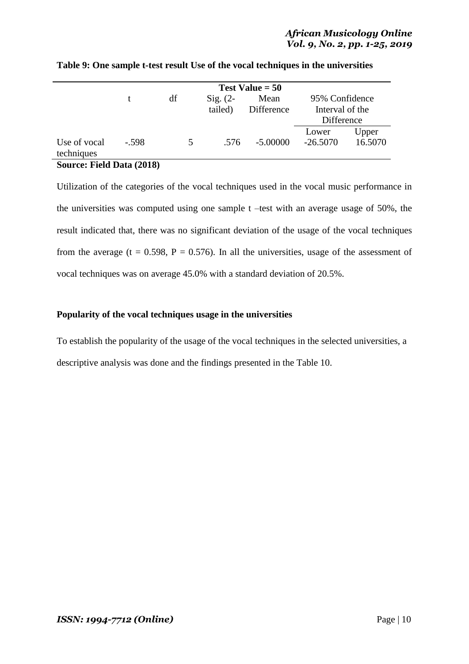|              | Test Value $= 50$ |    |            |            |                 |         |
|--------------|-------------------|----|------------|------------|-----------------|---------|
|              | t                 | df | $Sig. (2-$ | Mean       | 95% Confidence  |         |
|              |                   |    | tailed)    | Difference | Interval of the |         |
|              |                   |    |            |            | Difference      |         |
|              |                   |    |            |            | Lower           | Upper   |
| Use of vocal | $-.598$           | 5  | .576       | $-5.00000$ | $-26.5070$      | 16.5070 |
| techniques   |                   |    |            |            |                 |         |

### **Table 9: One sample t-test result Use of the vocal techniques in the universities**

### **Source: Field Data (2018)**

Utilization of the categories of the vocal techniques used in the vocal music performance in the universities was computed using one sample t –test with an average usage of 50%, the result indicated that, there was no significant deviation of the usage of the vocal techniques from the average (t = 0.598, P = 0.576). In all the universities, usage of the assessment of vocal techniques was on average 45.0% with a standard deviation of 20.5%.

### **Popularity of the vocal techniques usage in the universities**

To establish the popularity of the usage of the vocal techniques in the selected universities, a descriptive analysis was done and the findings presented in the Table 10.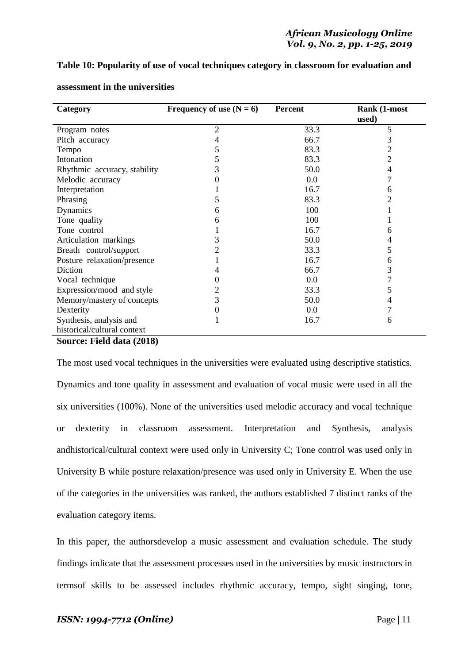### **Table 10: Popularity of use of vocal techniques category in classroom for evaluation and**

| Category                      | Frequency of use $(N = 6)$ | <b>Percent</b> | Rank (1-most |
|-------------------------------|----------------------------|----------------|--------------|
|                               |                            |                | used)        |
| Program notes                 | 2                          | 33.3           | 5            |
| Pitch accuracy                | 4                          | 66.7           | 3            |
| Tempo                         | 5                          | 83.3           | 2            |
| Intonation                    | 5                          | 83.3           | 2            |
| Rhythmic accuracy, stability  | 3                          | 50.0           | 4            |
| Melodic accuracy              |                            | 0.0            |              |
| Interpretation                |                            | 16.7           | 6            |
| Phrasing                      | 5                          | 83.3           |              |
| Dynamics                      | 6                          | 100            |              |
| Tone quality                  | 6                          | 100            |              |
| Tone control                  |                            | 16.7           | 6            |
| Articulation markings         | 3                          | 50.0           |              |
| Breath control/support        | 2                          | 33.3           | 5            |
| Posture relaxation/presence   |                            | 16.7           | 6            |
| Diction                       |                            | 66.7           | 3            |
| Vocal technique               |                            | 0.0            |              |
| Expression/mood and style     |                            | 33.3           | 5            |
| Memory/mastery of concepts    | 3                          | 50.0           |              |
| Dexterity                     |                            | 0.0            |              |
| Synthesis, analysis and       |                            | 16.7           | 6            |
| historical/cultural context   |                            |                |              |
| $E'$ 11 1 $(0.010)$<br>$\sim$ |                            |                |              |

#### **assessment in the universities**

#### **Source: Field data (2018)**

The most used vocal techniques in the universities were evaluated using descriptive statistics. Dynamics and tone quality in assessment and evaluation of vocal music were used in all the six universities (100%). None of the universities used melodic accuracy and vocal technique or dexterity in classroom assessment. Interpretation and Synthesis, analysis andhistorical/cultural context were used only in University C; Tone control was used only in University B while posture relaxation/presence was used only in University E. When the use of the categories in the universities was ranked, the authors established 7 distinct ranks of the evaluation category items.

In this paper, the authorsdevelop a music assessment and evaluation schedule. The study findings indicate that the assessment processes used in the universities by music instructors in termsof skills to be assessed includes rhythmic accuracy, tempo, sight singing, tone,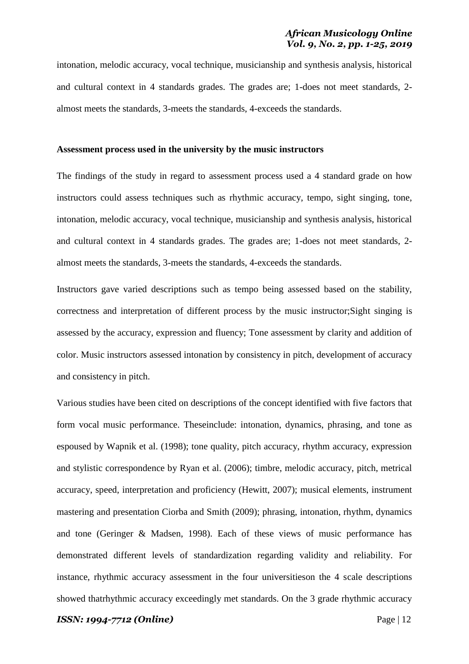intonation, melodic accuracy, vocal technique, musicianship and synthesis analysis, historical and cultural context in 4 standards grades. The grades are; 1-does not meet standards, 2 almost meets the standards, 3-meets the standards, 4-exceeds the standards.

#### **Assessment process used in the university by the music instructors**

The findings of the study in regard to assessment process used a 4 standard grade on how instructors could assess techniques such as rhythmic accuracy, tempo, sight singing, tone, intonation, melodic accuracy, vocal technique, musicianship and synthesis analysis, historical and cultural context in 4 standards grades. The grades are; 1-does not meet standards, 2 almost meets the standards, 3-meets the standards, 4-exceeds the standards.

Instructors gave varied descriptions such as tempo being assessed based on the stability, correctness and interpretation of different process by the music instructor;Sight singing is assessed by the accuracy, expression and fluency; Tone assessment by clarity and addition of color. Music instructors assessed intonation by consistency in pitch, development of accuracy and consistency in pitch.

Various studies have been cited on descriptions of the concept identified with five factors that form vocal music performance. Theseinclude: intonation, dynamics, phrasing, and tone as espoused by Wapnik et al. (1998); tone quality, pitch accuracy, rhythm accuracy, expression and stylistic correspondence by Ryan et al. (2006); timbre, melodic accuracy, pitch, metrical accuracy, speed, interpretation and proficiency (Hewitt, 2007); musical elements, instrument mastering and presentation Ciorba and Smith (2009); phrasing, intonation, rhythm, dynamics and tone (Geringer & Madsen, 1998). Each of these views of music performance has demonstrated different levels of standardization regarding validity and reliability. For instance, rhythmic accuracy assessment in the four universitieson the 4 scale descriptions showed thatrhythmic accuracy exceedingly met standards. On the 3 grade rhythmic accuracy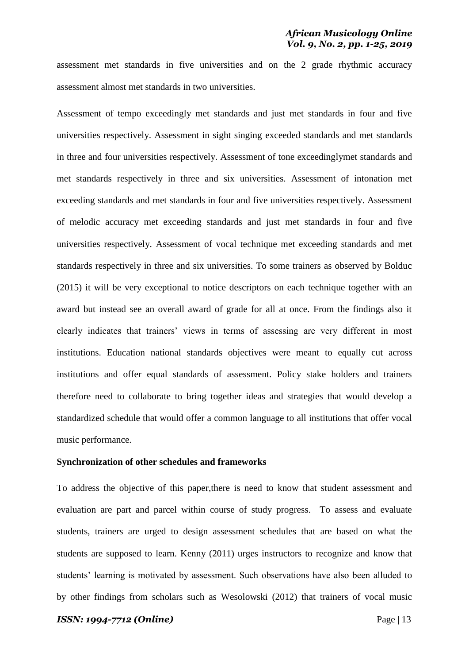assessment met standards in five universities and on the 2 grade rhythmic accuracy assessment almost met standards in two universities.

Assessment of tempo exceedingly met standards and just met standards in four and five universities respectively. Assessment in sight singing exceeded standards and met standards in three and four universities respectively. Assessment of tone exceedinglymet standards and met standards respectively in three and six universities. Assessment of intonation met exceeding standards and met standards in four and five universities respectively. Assessment of melodic accuracy met exceeding standards and just met standards in four and five universities respectively. Assessment of vocal technique met exceeding standards and met standards respectively in three and six universities. To some trainers as observed by Bolduc (2015) it will be very exceptional to notice descriptors on each technique together with an award but instead see an overall award of grade for all at once. From the findings also it clearly indicates that trainers' views in terms of assessing are very different in most institutions. Education national standards objectives were meant to equally cut across institutions and offer equal standards of assessment. Policy stake holders and trainers therefore need to collaborate to bring together ideas and strategies that would develop a standardized schedule that would offer a common language to all institutions that offer vocal music performance.

#### **Synchronization of other schedules and frameworks**

To address the objective of this paper,there is need to know that student assessment and evaluation are part and parcel within course of study progress. To assess and evaluate students, trainers are urged to design assessment schedules that are based on what the students are supposed to learn. Kenny (2011) urges instructors to recognize and know that students' learning is motivated by assessment. Such observations have also been alluded to by other findings from scholars such as Wesolowski (2012) that trainers of vocal music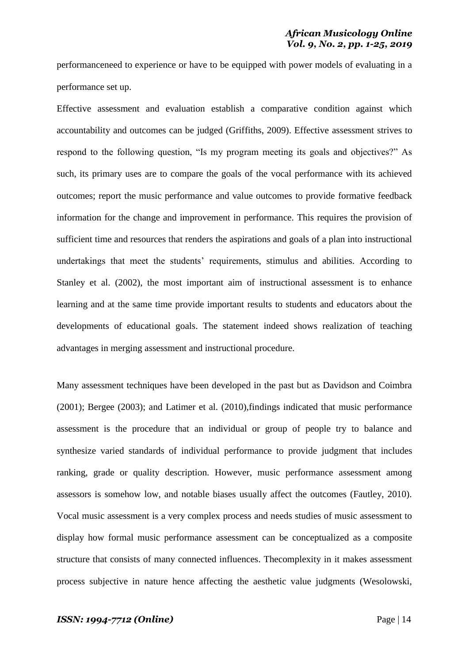performanceneed to experience or have to be equipped with power models of evaluating in a performance set up.

Effective assessment and evaluation establish a comparative condition against which accountability and outcomes can be judged (Griffiths, 2009). Effective assessment strives to respond to the following question, "Is my program meeting its goals and objectives?" As such, its primary uses are to compare the goals of the vocal performance with its achieved outcomes; report the music performance and value outcomes to provide formative feedback information for the change and improvement in performance. This requires the provision of sufficient time and resources that renders the aspirations and goals of a plan into instructional undertakings that meet the students' requirements, stimulus and abilities. According to Stanley et al. (2002), the most important aim of instructional assessment is to enhance learning and at the same time provide important results to students and educators about the developments of educational goals. The statement indeed shows realization of teaching advantages in merging assessment and instructional procedure.

Many assessment techniques have been developed in the past but as Davidson and Coimbra (2001); Bergee (2003); and Latimer et al. (2010),findings indicated that music performance assessment is the procedure that an individual or group of people try to balance and synthesize varied standards of individual performance to provide judgment that includes ranking, grade or quality description. However, music performance assessment among assessors is somehow low, and notable biases usually affect the outcomes (Fautley, 2010). Vocal music assessment is a very complex process and needs studies of music assessment to display how formal music performance assessment can be conceptualized as a composite structure that consists of many connected influences. Thecomplexity in it makes assessment process subjective in nature hence affecting the aesthetic value judgments (Wesolowski,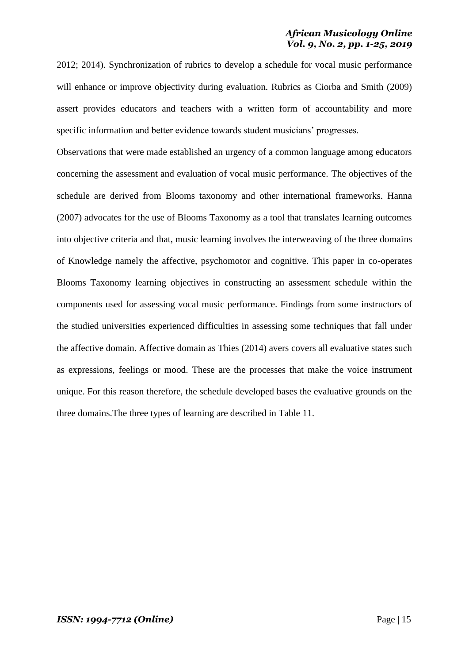2012; 2014). Synchronization of rubrics to develop a schedule for vocal music performance will enhance or improve objectivity during evaluation. Rubrics as Ciorba and Smith (2009) assert provides educators and teachers with a written form of accountability and more specific information and better evidence towards student musicians' progresses.

Observations that were made established an urgency of a common language among educators concerning the assessment and evaluation of vocal music performance. The objectives of the schedule are derived from Blooms taxonomy and other international frameworks. Hanna (2007) advocates for the use of Blooms Taxonomy as a tool that translates learning outcomes into objective criteria and that, music learning involves the interweaving of the three domains of Knowledge namely the affective, psychomotor and cognitive. This paper in co-operates Blooms Taxonomy learning objectives in constructing an assessment schedule within the components used for assessing vocal music performance. Findings from some instructors of the studied universities experienced difficulties in assessing some techniques that fall under the affective domain. Affective domain as Thies (2014) avers covers all evaluative states such as expressions, feelings or mood. These are the processes that make the voice instrument unique. For this reason therefore, the schedule developed bases the evaluative grounds on the three domains.The three types of learning are described in Table 11.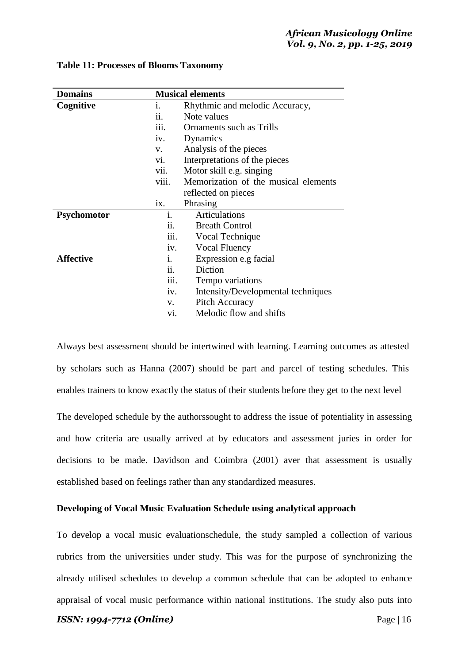| <b>Domains</b>     |             | <b>Musical elements</b>              |  |  |  |
|--------------------|-------------|--------------------------------------|--|--|--|
| Cognitive          | İ.          | Rhythmic and melodic Accuracy,       |  |  |  |
|                    | 11.         | Note values                          |  |  |  |
|                    | iii.        | Ornaments such as Trills             |  |  |  |
|                    | iv.         | Dynamics                             |  |  |  |
|                    | $V_{\star}$ | Analysis of the pieces               |  |  |  |
|                    | V1.         | Interpretations of the pieces        |  |  |  |
|                    | vii.        | Motor skill e.g. singing             |  |  |  |
|                    | viii.       | Memorization of the musical elements |  |  |  |
|                    |             | reflected on pieces                  |  |  |  |
|                    | ix.         | Phrasing                             |  |  |  |
| <b>Psychomotor</b> | i.          | Articulations                        |  |  |  |
|                    | ii.         | <b>Breath Control</b>                |  |  |  |
|                    | iii.        | Vocal Technique                      |  |  |  |
|                    | iv.         | Vocal Fluency                        |  |  |  |
| <b>Affective</b>   | i.          | Expression e.g facial                |  |  |  |
|                    | ii.         | Diction                              |  |  |  |
|                    | iii.        | Tempo variations                     |  |  |  |
|                    | iv.         | Intensity/Developmental techniques   |  |  |  |
|                    | V.          | Pitch Accuracy                       |  |  |  |
|                    | Vİ.         | Melodic flow and shifts              |  |  |  |

#### **Table 11: Processes of Blooms Taxonomy**

Always best assessment should be intertwined with learning. Learning outcomes as attested by scholars such as Hanna (2007) should be part and parcel of testing schedules. This enables trainers to know exactly the status of their students before they get to the next level The developed schedule by the authorssought to address the issue of potentiality in assessing and how criteria are usually arrived at by educators and assessment juries in order for decisions to be made. Davidson and Coimbra (2001) aver that assessment is usually established based on feelings rather than any standardized measures.

### **Developing of Vocal Music Evaluation Schedule using analytical approach**

To develop a vocal music evaluationschedule, the study sampled a collection of various rubrics from the universities under study. This was for the purpose of synchronizing the already utilised schedules to develop a common schedule that can be adopted to enhance appraisal of vocal music performance within national institutions. The study also puts into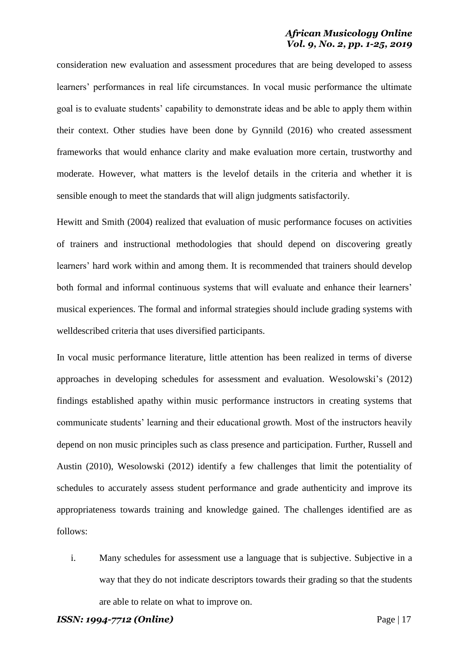consideration new evaluation and assessment procedures that are being developed to assess learners' performances in real life circumstances. In vocal music performance the ultimate goal is to evaluate students' capability to demonstrate ideas and be able to apply them within their context. Other studies have been done by Gynnild (2016) who created assessment frameworks that would enhance clarity and make evaluation more certain, trustworthy and moderate. However, what matters is the levelof details in the criteria and whether it is sensible enough to meet the standards that will align judgments satisfactorily.

Hewitt and Smith (2004) realized that evaluation of music performance focuses on activities of trainers and instructional methodologies that should depend on discovering greatly learners' hard work within and among them. It is recommended that trainers should develop both formal and informal continuous systems that will evaluate and enhance their learners' musical experiences. The formal and informal strategies should include grading systems with welldescribed criteria that uses diversified participants.

In vocal music performance literature, little attention has been realized in terms of diverse approaches in developing schedules for assessment and evaluation. Wesolowski's (2012) findings established apathy within music performance instructors in creating systems that communicate students' learning and their educational growth. Most of the instructors heavily depend on non music principles such as class presence and participation. Further, Russell and Austin (2010), Wesolowski (2012) identify a few challenges that limit the potentiality of schedules to accurately assess student performance and grade authenticity and improve its appropriateness towards training and knowledge gained. The challenges identified are as follows:

i. Many schedules for assessment use a language that is subjective. Subjective in a way that they do not indicate descriptors towards their grading so that the students are able to relate on what to improve on.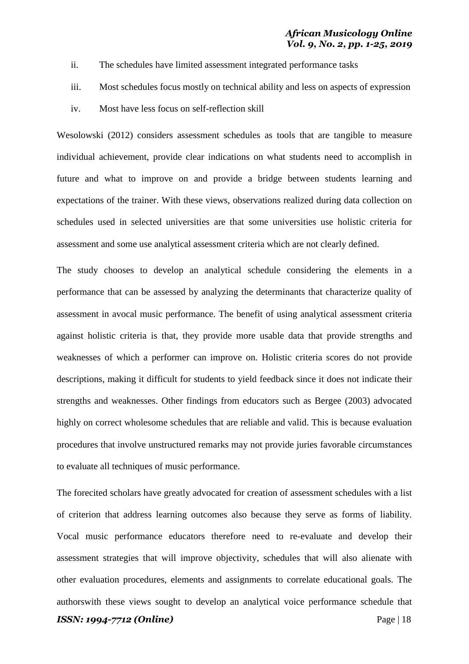- ii. The schedules have limited assessment integrated performance tasks
- iii. Most schedules focus mostly on technical ability and less on aspects of expression
- iv. Most have less focus on self-reflection skill

Wesolowski (2012) considers assessment schedules as tools that are tangible to measure individual achievement, provide clear indications on what students need to accomplish in future and what to improve on and provide a bridge between students learning and expectations of the trainer. With these views, observations realized during data collection on schedules used in selected universities are that some universities use holistic criteria for assessment and some use analytical assessment criteria which are not clearly defined.

The study chooses to develop an analytical schedule considering the elements in a performance that can be assessed by analyzing the determinants that characterize quality of assessment in avocal music performance. The benefit of using analytical assessment criteria against holistic criteria is that, they provide more usable data that provide strengths and weaknesses of which a performer can improve on. Holistic criteria scores do not provide descriptions, making it difficult for students to yield feedback since it does not indicate their strengths and weaknesses. Other findings from educators such as Bergee (2003) advocated highly on correct wholesome schedules that are reliable and valid. This is because evaluation procedures that involve unstructured remarks may not provide juries favorable circumstances to evaluate all techniques of music performance.

*ISSN: 1994-7712 (Online)* Page | 18 The forecited scholars have greatly advocated for creation of assessment schedules with a list of criterion that address learning outcomes also because they serve as forms of liability. Vocal music performance educators therefore need to re-evaluate and develop their assessment strategies that will improve objectivity, schedules that will also alienate with other evaluation procedures, elements and assignments to correlate educational goals. The authorswith these views sought to develop an analytical voice performance schedule that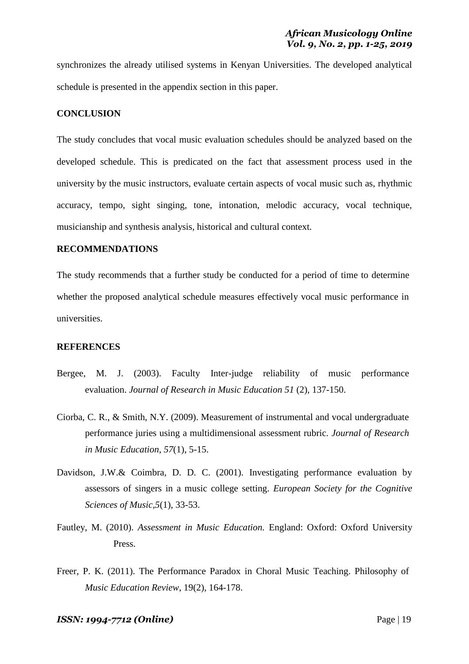synchronizes the already utilised systems in Kenyan Universities. The developed analytical schedule is presented in the appendix section in this paper.

#### **CONCLUSION**

The study concludes that vocal music evaluation schedules should be analyzed based on the developed schedule. This is predicated on the fact that assessment process used in the university by the music instructors, evaluate certain aspects of vocal music such as, rhythmic accuracy, tempo, sight singing, tone, intonation, melodic accuracy, vocal technique, musicianship and synthesis analysis, historical and cultural context.

### **RECOMMENDATIONS**

The study recommends that a further study be conducted for a period of time to determine whether the proposed analytical schedule measures effectively vocal music performance in universities.

#### **REFERENCES**

- Bergee, M. J. (2003). Faculty Inter-judge reliability of music performance evaluation. *Journal of Research in Music Education 51* (2), 137-150.
- Ciorba, C. R., & Smith, N.Y. (2009). Measurement of instrumental and vocal undergraduate performance juries using a multidimensional assessment rubric. *Journal of Research in Music Education*, *57*(1), 5-15.
- Davidson, J.W.& Coimbra, D. D. C. (2001). Investigating performance evaluation by assessors of singers in a music college setting. *European Society for the Cognitive Sciences of Music,5*(1), 33-53.
- Fautley, M. (2010). *Assessment in Music Education.* England: Oxford: Oxford University Press.
- Freer, P. K. (2011). The Performance Paradox in Choral Music Teaching. Philosophy of *Music Education Review*, 19(2), 164-178.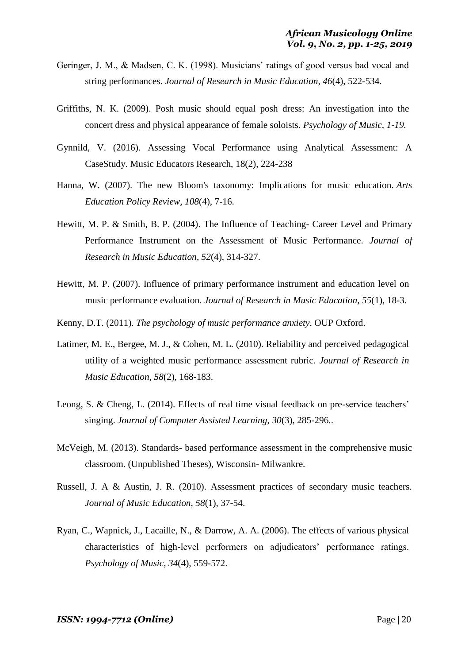- Geringer, J. M., & Madsen, C. K. (1998). Musicians' ratings of good versus bad vocal and string performances. *Journal of Research in Music Education, 46*(4), 522-534.
- Griffiths, N. K. (2009). Posh music should equal posh dress: An investigation into the concert dress and physical appearance of female soloists. *Psychology of Music, 1-19.*
- Gynnild, V. (2016). Assessing Vocal Performance using Analytical Assessment: A CaseStudy. Music Educators Research, 18(2), 224-238
- Hanna, W. (2007). The new Bloom's taxonomy: Implications for music education. *Arts Education Policy Review*, *108*(4), 7-16.
- Hewitt, M. P. & Smith, B. P. (2004). The Influence of Teaching- Career Level and Primary Performance Instrument on the Assessment of Music Performance. *Journal of Research in Music Education*, *52*(4), 314-327.
- Hewitt, M. P. (2007). Influence of primary performance instrument and education level on music performance evaluation. *Journal of Research in Music Education, 55*(1), 18-3.
- Kenny, D.T. (2011). *The psychology of music performance anxiety*. OUP Oxford.
- Latimer, M. E., Bergee, M. J., & Cohen, M. L. (2010). Reliability and perceived pedagogical utility of a weighted music performance assessment rubric. *Journal of Research in Music Education*, *58*(2), 168-183.
- Leong, S. & Cheng, L. (2014). Effects of real time visual feedback on pre-service teachers' singing. *Journal of Computer Assisted Learning*, *30*(3), 285-296..
- McVeigh, M. (2013). Standards- based performance assessment in the comprehensive music classroom. (Unpublished Theses), Wisconsin- Milwankre.
- Russell, J. A & Austin, J. R. (2010). Assessment practices of secondary music teachers. *Journal of Music Education*, *58*(1), 37-54.
- Ryan, C., Wapnick, J., Lacaille, N., & Darrow, A. A. (2006). The effects of various physical characteristics of high-level performers on adjudicators' performance ratings. *Psychology of Music*, *34*(4), 559-572.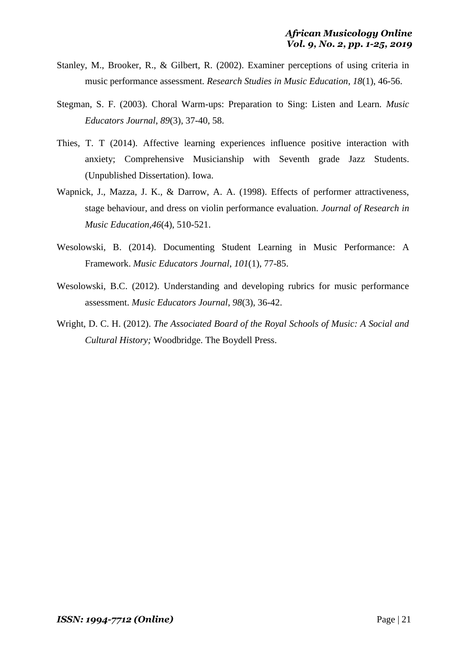- Stanley, M., Brooker, R., & Gilbert, R. (2002). Examiner perceptions of using criteria in music performance assessment. *Research Studies in Music Education*, *18*(1), 46-56.
- Stegman, S. F. (2003). Choral Warm-ups: Preparation to Sing: Listen and Learn. *Music Educators Journal*, *89*(3), 37-40, 58.
- Thies, T. T (2014). Affective learning experiences influence positive interaction with anxiety; Comprehensive Musicianship with Seventh grade Jazz Students. (Unpublished Dissertation). Iowa.
- Wapnick, J., Mazza, J. K., & Darrow, A. A. (1998). Effects of performer attractiveness, stage behaviour, and dress on violin performance evaluation. *Journal of Research in Music Education*,*46*(4), 510-521.
- Wesolowski, B. (2014). Documenting Student Learning in Music Performance: A Framework. *Music Educators Journal*, *101*(1), 77-85.
- Wesolowski, B.C. (2012). Understanding and developing rubrics for music performance assessment. *Music Educators Journal*, *98*(3), 36-42.
- Wright, D. C. H. (2012). *The Associated Board of the Royal Schools of Music: A Social and Cultural History;* Woodbridge. The Boydell Press.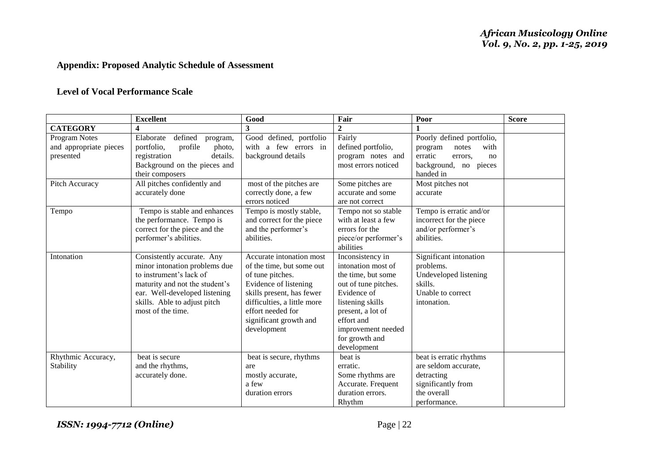# **Appendix: Proposed Analytic Schedule of Assessment**

# **Level of Vocal Performance Scale**

|                                                      | <b>Excellent</b>                                                                                                                                                                                               | Good                                                                                                                                                                                                                         | Fair                                                                                                                                                                                                              | Poor                                                                                                                    | <b>Score</b> |
|------------------------------------------------------|----------------------------------------------------------------------------------------------------------------------------------------------------------------------------------------------------------------|------------------------------------------------------------------------------------------------------------------------------------------------------------------------------------------------------------------------------|-------------------------------------------------------------------------------------------------------------------------------------------------------------------------------------------------------------------|-------------------------------------------------------------------------------------------------------------------------|--------------|
| <b>CATEGORY</b>                                      | 4                                                                                                                                                                                                              | 3                                                                                                                                                                                                                            | $\boldsymbol{2}$                                                                                                                                                                                                  |                                                                                                                         |              |
| Program Notes<br>and appropriate pieces<br>presented | defined<br>Elaborate<br>program,<br>portfolio,<br>profile<br>photo,<br>registration<br>details.<br>Background on the pieces and<br>their composers                                                             | Good defined, portfolio<br>a few errors in<br>with<br>background details                                                                                                                                                     | Fairly<br>defined portfolio,<br>program notes and<br>most errors noticed                                                                                                                                          | Poorly defined portfolio,<br>with<br>program<br>notes<br>erratic<br>errors.<br>no<br>background, no pieces<br>handed in |              |
| Pitch Accuracy                                       | All pitches confidently and<br>accurately done                                                                                                                                                                 | most of the pitches are<br>correctly done, a few<br>errors noticed                                                                                                                                                           | Some pitches are<br>accurate and some<br>are not correct                                                                                                                                                          | Most pitches not<br>accurate                                                                                            |              |
| Tempo                                                | Tempo is stable and enhances<br>the performance. Tempo is<br>correct for the piece and the<br>performer's abilities.                                                                                           | Tempo is mostly stable,<br>and correct for the piece<br>and the performer's<br>abilities.                                                                                                                                    | Tempo not so stable<br>with at least a few<br>errors for the<br>piece/or performer's<br>abilities                                                                                                                 | Tempo is erratic and/or<br>incorrect for the piece<br>and/or performer's<br>abilities.                                  |              |
| Intonation                                           | Consistently accurate. Any<br>minor intonation problems due<br>to instrument's lack of<br>maturity and not the student's<br>ear. Well-developed listening<br>skills. Able to adjust pitch<br>most of the time. | Accurate intonation most<br>of the time, but some out<br>of tune pitches.<br>Evidence of listening<br>skills present, has fewer<br>difficulties, a little more<br>effort needed for<br>significant growth and<br>development | Inconsistency in<br>intonation most of<br>the time, but some<br>out of tune pitches.<br>Evidence of<br>listening skills<br>present, a lot of<br>effort and<br>improvement needed<br>for growth and<br>development | Significant intonation<br>problems.<br>Undeveloped listening<br>skills.<br>Unable to correct<br>intonation.             |              |
| Rhythmic Accuracy,<br>Stability                      | beat is secure<br>and the rhythms,<br>accurately done.                                                                                                                                                         | beat is secure, rhythms<br>are<br>mostly accurate,<br>a few<br>duration errors                                                                                                                                               | beat is<br>erratic.<br>Some rhythms are<br>Accurate. Frequent<br>duration errors.<br>Rhythm                                                                                                                       | beat is erratic rhythms<br>are seldom accurate,<br>detracting<br>significantly from<br>the overall<br>performance.      |              |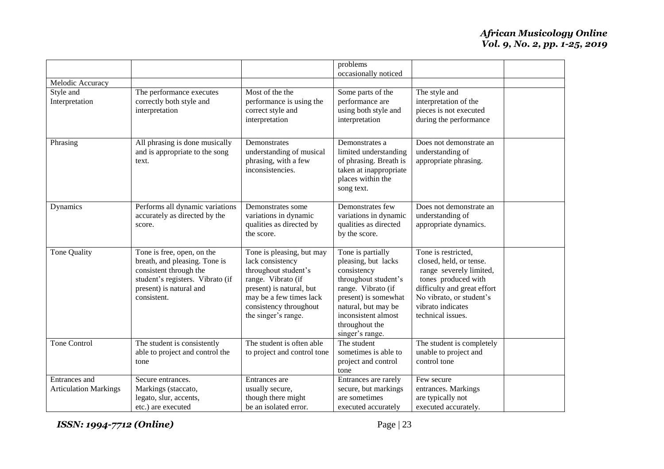|                                               |                                                                                                                                                                     |                                                                                                                                                                                                     | problems<br>occasionally noticed                                                                                                                                                                                 |                                                                                                                                                                                                       |  |
|-----------------------------------------------|---------------------------------------------------------------------------------------------------------------------------------------------------------------------|-----------------------------------------------------------------------------------------------------------------------------------------------------------------------------------------------------|------------------------------------------------------------------------------------------------------------------------------------------------------------------------------------------------------------------|-------------------------------------------------------------------------------------------------------------------------------------------------------------------------------------------------------|--|
| Melodic Accuracy                              |                                                                                                                                                                     |                                                                                                                                                                                                     |                                                                                                                                                                                                                  |                                                                                                                                                                                                       |  |
| Style and<br>Interpretation                   | The performance executes<br>correctly both style and<br>interpretation                                                                                              | Most of the the<br>performance is using the<br>correct style and<br>interpretation                                                                                                                  | Some parts of the<br>performance are<br>using both style and<br>interpretation                                                                                                                                   | The style and<br>interpretation of the<br>pieces is not executed<br>during the performance                                                                                                            |  |
| Phrasing                                      | All phrasing is done musically<br>and is appropriate to the song<br>text.                                                                                           | Demonstrates<br>understanding of musical<br>phrasing, with a few<br>inconsistencies.                                                                                                                | Demonstrates a<br>limited understanding<br>of phrasing. Breath is<br>taken at inappropriate<br>places within the<br>song text.                                                                                   | Does not demonstrate an<br>understanding of<br>appropriate phrasing.                                                                                                                                  |  |
| Dynamics                                      | Performs all dynamic variations<br>accurately as directed by the<br>score.                                                                                          | Demonstrates some<br>variations in dynamic<br>qualities as directed by<br>the score.                                                                                                                | Demonstrates few<br>variations in dynamic<br>qualities as directed<br>by the score.                                                                                                                              | Does not demonstrate an<br>understanding of<br>appropriate dynamics.                                                                                                                                  |  |
| Tone Quality                                  | Tone is free, open, on the<br>breath, and pleasing. Tone is<br>consistent through the<br>student's registers. Vibrato (if<br>present) is natural and<br>consistent. | Tone is pleasing, but may<br>lack consistency<br>throughout student's<br>range. Vibrato (if<br>present) is natural, but<br>may be a few times lack<br>consistency throughout<br>the singer's range. | Tone is partially<br>pleasing, but lacks<br>consistency<br>throughout student's<br>range. Vibrato (if<br>present) is somewhat<br>natural, but may be<br>inconsistent almost<br>throughout the<br>singer's range. | Tone is restricted,<br>closed, held, or tense.<br>range severely limited,<br>tones produced with<br>difficulty and great effort<br>No vibrato, or student's<br>vibrato indicates<br>technical issues. |  |
| <b>Tone Control</b>                           | The student is consistently<br>able to project and control the<br>tone                                                                                              | The student is often able<br>to project and control tone                                                                                                                                            | The student<br>sometimes is able to<br>project and control<br>tone                                                                                                                                               | The student is completely<br>unable to project and<br>control tone                                                                                                                                    |  |
| Entrances and<br><b>Articulation Markings</b> | Secure entrances.<br>Markings (staccato,<br>legato, slur, accents,<br>etc.) are executed                                                                            | Entrances are<br>usually secure,<br>though there might<br>be an isolated error.                                                                                                                     | Entrances are rarely<br>secure, but markings<br>are sometimes<br>executed accurately                                                                                                                             | Few secure<br>entrances. Markings<br>are typically not<br>executed accurately.                                                                                                                        |  |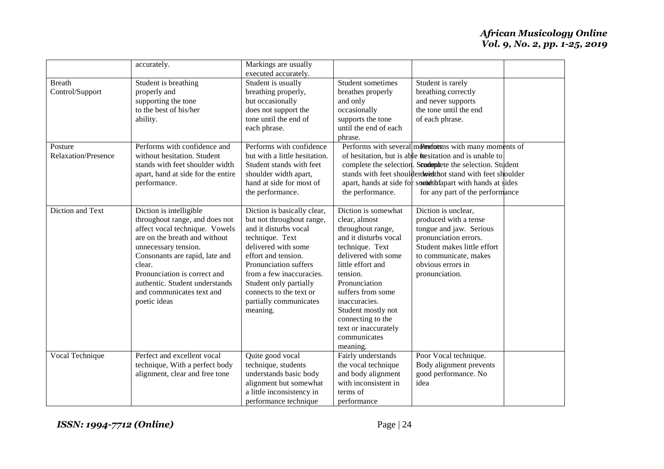|                                       | accurately.                                                                                                                                                                                                                                                                                                     | Markings are usually                                                                                                                                                                                                                                                                               |                                                                                                                                                                                                                                                                                                                     |                                                                                                                                                                                                                                                                                                                                                  |
|---------------------------------------|-----------------------------------------------------------------------------------------------------------------------------------------------------------------------------------------------------------------------------------------------------------------------------------------------------------------|----------------------------------------------------------------------------------------------------------------------------------------------------------------------------------------------------------------------------------------------------------------------------------------------------|---------------------------------------------------------------------------------------------------------------------------------------------------------------------------------------------------------------------------------------------------------------------------------------------------------------------|--------------------------------------------------------------------------------------------------------------------------------------------------------------------------------------------------------------------------------------------------------------------------------------------------------------------------------------------------|
| <b>Breath</b><br>Control/Support      | Student is breathing<br>properly and<br>supporting the tone<br>to the best of his/her<br>ability.                                                                                                                                                                                                               | executed accurately.<br>Student is usually<br>breathing properly,<br>but occasionally<br>does not support the<br>tone until the end of<br>each phrase.                                                                                                                                             | Student sometimes<br>breathes properly<br>and only<br>occasionally<br>supports the tone<br>until the end of each<br>phrase.                                                                                                                                                                                         | Student is rarely<br>breathing correctly<br>and never supports<br>the tone until the end<br>of each phrase.                                                                                                                                                                                                                                      |
| Posture<br><b>Relaxation/Presence</b> | Performs with confidence and<br>without hesitation. Student<br>stands with feet shoulder width<br>apart, hand at side for the entire<br>performance.                                                                                                                                                            | Performs with confidence<br>but with a little hesitation.<br>Student stands with feet<br>shoulder width apart,<br>hand at side for most of<br>the performance.                                                                                                                                     | the performance.                                                                                                                                                                                                                                                                                                    | Performs with several monetons with many moments of<br>of hesitation, but is able to the sitation and is unable to<br>complete the selection. Studenteet the selection. Student<br>stands with feet shoulderdwick thot stand with feet shoulder<br>apart, hands at side for somidthfapart with hands at sides<br>for any part of the performance |
| Diction and Text                      | Diction is intelligible<br>throughout range, and does not<br>affect vocal technique. Vowels<br>are on the breath and without<br>unnecessary tension.<br>Consonants are rapid, late and<br>clear.<br>Pronunciation is correct and<br>authentic. Student understands<br>and communicates text and<br>poetic ideas | Diction is basically clear,<br>but not throughout range,<br>and it disturbs vocal<br>technique. Text<br>delivered with some<br>effort and tension.<br>Pronunciation suffers<br>from a few inaccuracies.<br>Student only partially<br>connects to the text or<br>partially communicates<br>meaning. | Diction is somewhat<br>clear, almost<br>throughout range,<br>and it disturbs vocal<br>technique. Text<br>delivered with some<br>little effort and<br>tension.<br>Pronunciation<br>suffers from some<br>inaccuracies.<br>Student mostly not<br>connecting to the<br>text or inaccurately<br>communicates<br>meaning. | Diction is unclear,<br>produced with a tense<br>tongue and jaw. Serious<br>pronunciation errors.<br>Student makes little effort<br>to communicate, makes<br>obvious errors in<br>pronunciation.                                                                                                                                                  |
| Vocal Technique                       | Perfect and excellent vocal<br>technique, With a perfect body<br>alignment, clear and free tone                                                                                                                                                                                                                 | Quite good vocal<br>technique, students<br>understands basic body<br>alignment but somewhat<br>a little inconsistency in<br>performance technique                                                                                                                                                  | Fairly understands<br>the vocal technique<br>and body alignment<br>with inconsistent in<br>terms of<br>performance                                                                                                                                                                                                  | Poor Vocal technique.<br>Body alignment prevents<br>good performance. No<br>idea                                                                                                                                                                                                                                                                 |